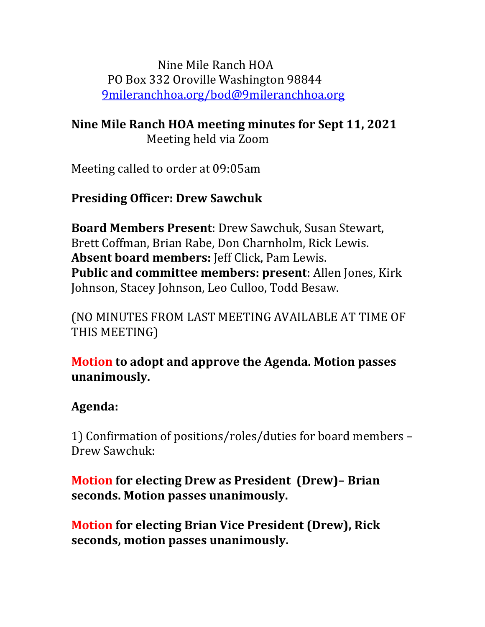Nine Mile Ranch HOA PO Box 332 Oroville Washington 98844 [9mileranchhoa.org/bod@9mileranchhoa.org](mailto:9mileranchhoa.org/bod@9mileranchhoa.org)

**Nine Mile Ranch HOA meeting minutes for Sept 11, 2021** Meeting held via Zoom

Meeting called to order at 09:05am

## **Presiding Officer: Drew Sawchuk**

**Board Members Present**: Drew Sawchuk, Susan Stewart, Brett Coffman, Brian Rabe, Don Charnholm, Rick Lewis. **Absent board members:** Jeff Click, Pam Lewis. **Public and committee members: present**: Allen Jones, Kirk Johnson, Stacey Johnson, Leo Culloo, Todd Besaw.

(NO MINUTES FROM LAST MEETING AVAILABLE AT TIME OF THIS MEETING)

## **Motion to adopt and approve the Agenda. Motion passes unanimously.**

## **Agenda:**

1) Confirmation of positions/roles/duties for board members – Drew Sawchuk:

## **Motion for electing Drew as President (Drew)– Brian seconds. Motion passes unanimously.**

**Motion for electing Brian Vice President (Drew), Rick seconds, motion passes unanimously.**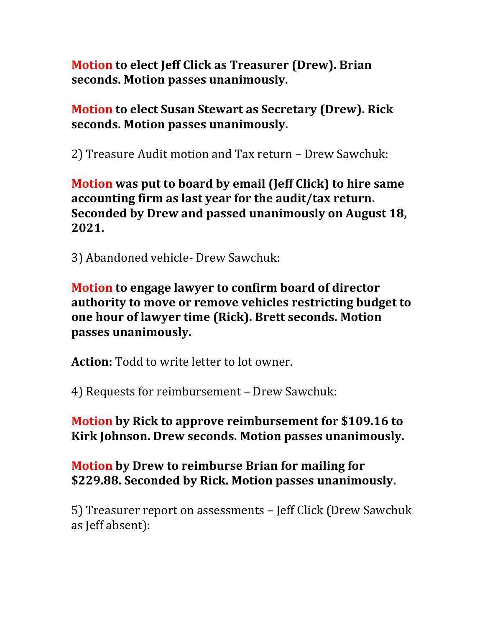**Motion to elect Jeff Click as Treasurer (Drew). Brian seconds. Motion passes unanimously.**

**Motion to elect Susan Stewart as Secretary (Drew). Rick seconds. Motion passes unanimously.**

2) Treasure Audit motion and Tax return – Drew Sawchuk:

**Motion was put to board by email (Jeff Click) to hire same accounting firm as last year for the audit/tax return. Seconded by Drew and passed unanimously on August 18, 2021.** 

3) Abandoned vehicle- Drew Sawchuk:

**Motion to engage lawyer to confirm board of director authority to move or remove vehicles restricting budget to one hour of lawyer time (Rick). Brett seconds. Motion passes unanimously.**

**Action:** Todd to write letter to lot owner.

4) Requests for reimbursement – Drew Sawchuk:

**Motion by Rick to approve reimbursement for \$109.16 to Kirk Johnson. Drew seconds. Motion passes unanimously.**

**Motion by Drew to reimburse Brian for mailing for \$229.88. Seconded by Rick. Motion passes unanimously.**

5) Treasurer report on assessments – Jeff Click (Drew Sawchuk as Jeff absent):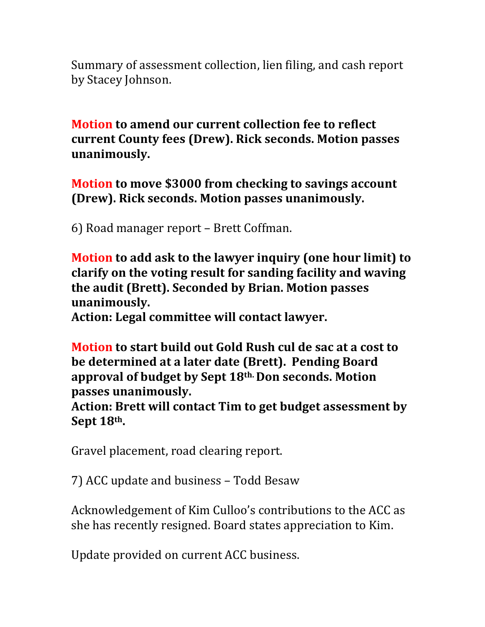Summary of assessment collection, lien filing, and cash report by Stacey Johnson.

**Motion to amend our current collection fee to reflect current County fees (Drew). Rick seconds. Motion passes unanimously.**

**Motion to move \$3000 from checking to savings account (Drew). Rick seconds. Motion passes unanimously.**

6) Road manager report – Brett Coffman.

**Motion to add ask to the lawyer inquiry (one hour limit) to clarify on the voting result for sanding facility and waving the audit (Brett). Seconded by Brian. Motion passes unanimously.**

**Action: Legal committee will contact lawyer.**

**Motion to start build out Gold Rush cul de sac at a cost to be determined at a later date (Brett). Pending Board approval of budget by Sept 18th. Don seconds. Motion passes unanimously.**

**Action: Brett will contact Tim to get budget assessment by Sept 18th.**

Gravel placement, road clearing report.

7) ACC update and business – Todd Besaw

Acknowledgement of Kim Culloo's contributions to the ACC as she has recently resigned. Board states appreciation to Kim.

Update provided on current ACC business.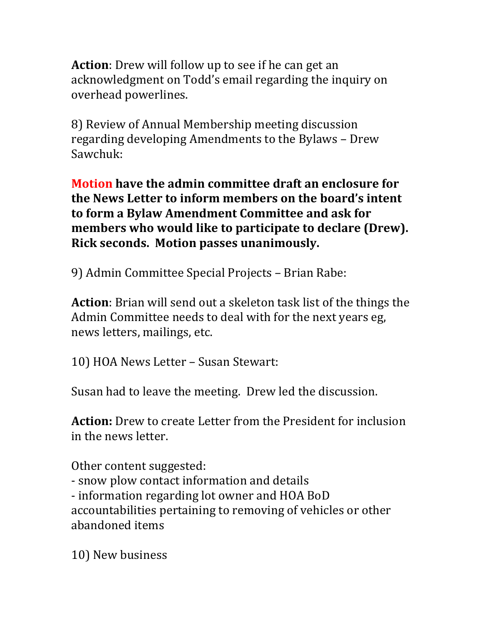**Action**: Drew will follow up to see if he can get an acknowledgment on Todd's email regarding the inquiry on overhead powerlines.

8) Review of Annual Membership meeting discussion regarding developing Amendments to the Bylaws – Drew Sawchuk:

**Motion have the admin committee draft an enclosure for the News Letter to inform members on the board's intent to form a Bylaw Amendment Committee and ask for members who would like to participate to declare (Drew). Rick seconds. Motion passes unanimously.**

9) Admin Committee Special Projects – Brian Rabe:

**Action**: Brian will send out a skeleton task list of the things the Admin Committee needs to deal with for the next years eg, news letters, mailings, etc.

10) HOA News Letter – Susan Stewart:

Susan had to leave the meeting. Drew led the discussion.

**Action:** Drew to create Letter from the President for inclusion in the news letter.

Other content suggested: - snow plow contact information and details - information regarding lot owner and HOA BoD accountabilities pertaining to removing of vehicles or other abandoned items

10) New business